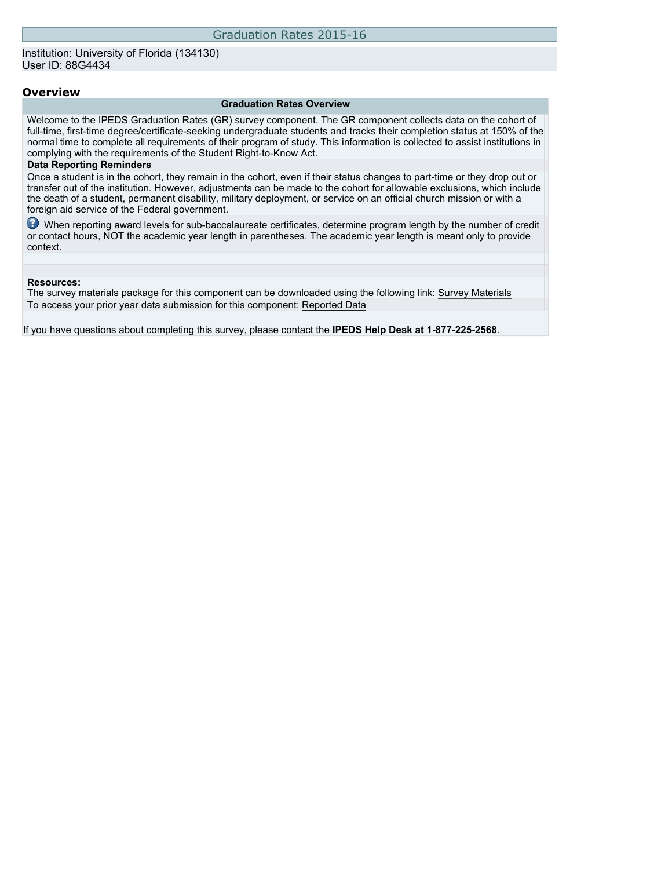## **Overview**

#### **Graduation Rates Overview**

Welcome to the IPEDS Graduation Rates (GR) survey component. The GR component collects data on the cohort of full-time, first-time degree/certificate-seeking undergraduate students and tracks their completion status at 150% of the normal time to complete all requirements of their program of study. This information is collected to assist institutions in complying with the requirements of the Student Right-to-Know Act.

### **Data Reporting Reminders**

Once a student is in the cohort, they remain in the cohort, even if their status changes to part-time or they drop out or transfer out of the institution. However, adjustments can be made to the cohort for allowable exclusions, which include the death of a student, permanent disability, military deployment, or service on an official church mission or with a foreign aid service of the Federal government.

When reporting award levels for sub-baccalaureate certificates, determine program length by the number of credit or contact hours, NOT the academic year length in parentheses. The academic year length is meant only to provide context.

### **Resources:**

The survey materials package for this component can be downloaded using the following link: [Survey Materials](https://surveys.nces.ed.gov/ipeds/VisIndex.aspx) To access your prior year data submission for this component: [Reported Data](http://192.168.102.153/IPEDS/PriorYearDataRedirect.aspx?survey_id=4)

If you have questions about completing this survey, please contact the **IPEDS Help Desk at 1-877-225-2568**.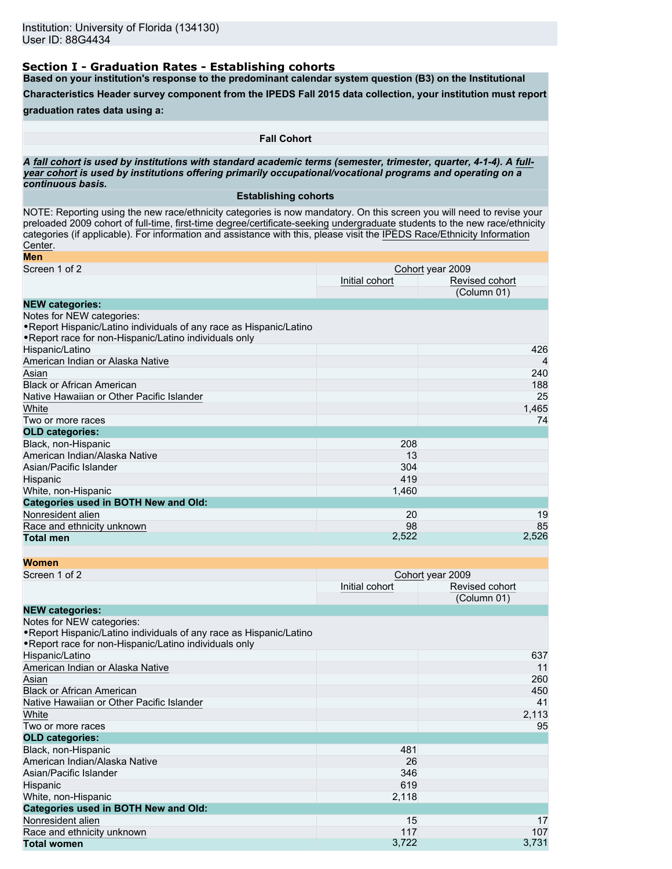# **Section I - Graduation Rates - Establishing cohorts**

**Based on your institution's response to the predominant calendar system question (B3) on the Institutional**

**Characteristics Header survey component from the IPEDS Fall 2015 data collection, your institution must report**

# **graduation rates data using a:**

**Fall Cohort**

*A* **fall cohort** *is used by institutions with standard academic terms (semester, trimester, quarter, 4-1-4). A* **fullyear cohort** *is used by institutions offering primarily occupational/vocational programs and operating on a continuous basis.*

## **Establishing cohorts**

NOTE: Reporting using the new race/ethnicity categories is now mandatory. On this screen you will need to revise your preloaded 2009 cohort of full-time, first-time degree/certificate-seeking undergraduate students to the new race/ethnicity categories (if applicable). For information and assistance with this, please visit the [IPEDS Race/Ethnicity Information](http://nces.ed.gov/ipeds/Section/Resources) [Center](http://nces.ed.gov/ipeds/Section/Resources).

| Men                                                                 |                  |                |  |
|---------------------------------------------------------------------|------------------|----------------|--|
| Screen 1 of 2                                                       | Cohort year 2009 |                |  |
|                                                                     | Initial cohort   | Revised cohort |  |
|                                                                     |                  | (Column 01)    |  |
| <b>NEW categories:</b>                                              |                  |                |  |
| Notes for NEW categories:                                           |                  |                |  |
| . Report Hispanic/Latino individuals of any race as Hispanic/Latino |                  |                |  |
| . Report race for non-Hispanic/Latino individuals only              |                  |                |  |
| Hispanic/Latino                                                     |                  | 426            |  |
| American Indian or Alaska Native                                    |                  | $\overline{4}$ |  |
| Asian                                                               |                  | 240            |  |
| <b>Black or African American</b>                                    |                  | 188            |  |
| Native Hawaiian or Other Pacific Islander                           |                  | 25             |  |
| White                                                               |                  | 1,465          |  |
| Two or more races                                                   |                  | 74             |  |
| <b>OLD categories:</b>                                              |                  |                |  |
| Black, non-Hispanic                                                 | 208              |                |  |
| American Indian/Alaska Native                                       | 13               |                |  |
| Asian/Pacific Islander                                              | 304              |                |  |
| Hispanic                                                            | 419              |                |  |
| White, non-Hispanic                                                 | 1,460            |                |  |
| <b>Categories used in BOTH New and Old:</b>                         |                  |                |  |
| Nonresident alien                                                   | 20               | 19             |  |
| Race and ethnicity unknown                                          | 98               | 85             |  |
| <b>Total men</b>                                                    | 2,522            | 2,526          |  |

| <b>Women</b>                                                                                                                                               |                |                  |
|------------------------------------------------------------------------------------------------------------------------------------------------------------|----------------|------------------|
| Screen 1 of 2                                                                                                                                              |                | Cohort year 2009 |
|                                                                                                                                                            | Initial cohort | Revised cohort   |
|                                                                                                                                                            |                | (Column 01)      |
| <b>NEW categories:</b>                                                                                                                                     |                |                  |
| Notes for NEW categories:<br>• Report Hispanic/Latino individuals of any race as Hispanic/Latino<br>. Report race for non-Hispanic/Latino individuals only |                |                  |
| Hispanic/Latino                                                                                                                                            |                | 637              |
| American Indian or Alaska Native                                                                                                                           |                | 11               |
| Asian                                                                                                                                                      |                | 260              |
| <b>Black or African American</b>                                                                                                                           |                | 450              |
| Native Hawaiian or Other Pacific Islander                                                                                                                  |                | 41               |
| White                                                                                                                                                      |                | 2,113            |
| Two or more races                                                                                                                                          |                | 95               |
| <b>OLD categories:</b>                                                                                                                                     |                |                  |
| Black, non-Hispanic                                                                                                                                        | 481            |                  |
| American Indian/Alaska Native                                                                                                                              | 26             |                  |
| Asian/Pacific Islander                                                                                                                                     | 346            |                  |
| Hispanic                                                                                                                                                   | 619            |                  |
| White, non-Hispanic                                                                                                                                        | 2,118          |                  |
| <b>Categories used in BOTH New and Old:</b>                                                                                                                |                |                  |
| Nonresident alien                                                                                                                                          | 15             | 17               |
| Race and ethnicity unknown                                                                                                                                 | 117            | 107              |
| <b>Total women</b>                                                                                                                                         | 3,722          | 3,731            |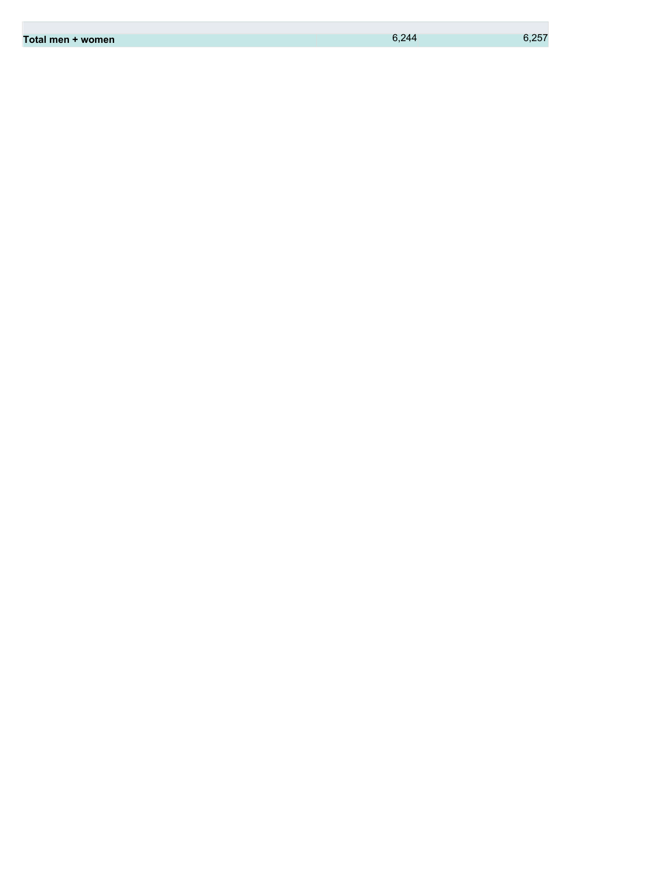| 6.257<br>6,244<br>Total men + women |
|-------------------------------------|
|-------------------------------------|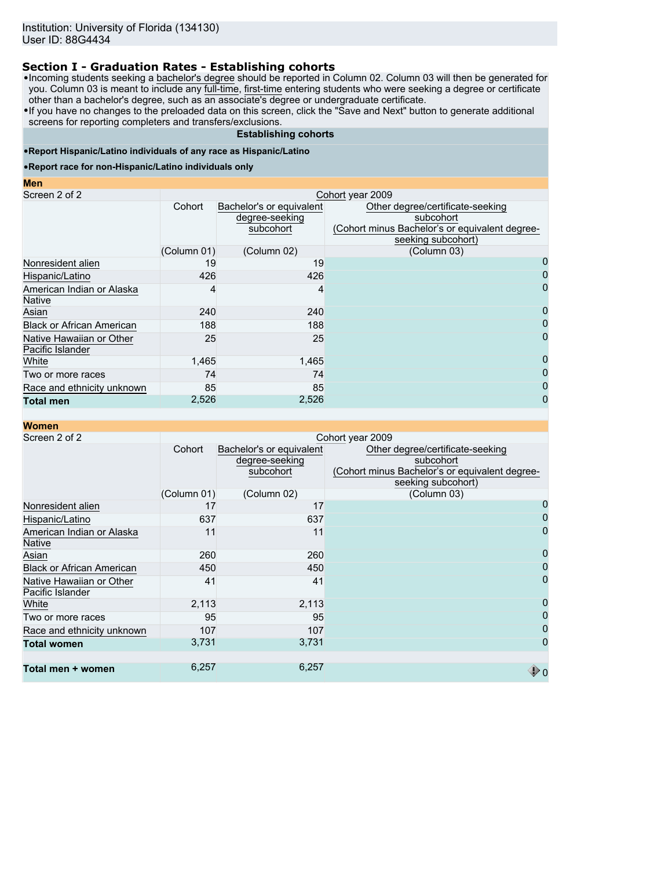# **Section I - Graduation Rates - Establishing cohorts**

•Incoming students seeking a bachelor's degree should be reported in Column 02. Column 03 will then be generated for you. Column 03 is meant to include any <u>full-time, first-time</u> entering students who were seeking a degree or certificate other than a bachelor's degree, such as an associate's degree or undergraduate certificate.

•If you have no changes to the preloaded data on this screen, click the "Save and Next" button to generate additional screens for reporting completers and transfers/exclusions.

## **Establishing cohorts**

## •**Report Hispanic/Latino individuals of any race as Hispanic/Latino**

### •**Report race for non-Hispanic/Latino individuals only**

#### **Men**

| Screen 2 of 2                                | Cohort year 2009 |                                                         |                                                                                                                       |  |  |
|----------------------------------------------|------------------|---------------------------------------------------------|-----------------------------------------------------------------------------------------------------------------------|--|--|
|                                              | Cohort           | Bachelor's or equivalent<br>degree-seeking<br>subcohort | Other degree/certificate-seeking<br>subcohort<br>(Cohort minus Bachelor's or equivalent degree-<br>seeking subcohort) |  |  |
|                                              | (Column 01)      | (Column 02)                                             | (Column 03)                                                                                                           |  |  |
| Nonresident alien                            | 19               | 19                                                      | 0                                                                                                                     |  |  |
| Hispanic/Latino                              | 426              | 426                                                     | 0                                                                                                                     |  |  |
| American Indian or Alaska<br><b>Native</b>   |                  | 4                                                       | 0                                                                                                                     |  |  |
| Asian                                        | 240              | 240                                                     | 0                                                                                                                     |  |  |
| <b>Black or African American</b>             | 188              | 188                                                     | 0                                                                                                                     |  |  |
| Native Hawaiian or Other<br>Pacific Islander | 25               | 25                                                      |                                                                                                                       |  |  |
| White                                        | 1,465            | 1,465                                                   | 0                                                                                                                     |  |  |
| Two or more races                            | 74               | 74                                                      | 0                                                                                                                     |  |  |
| Race and ethnicity unknown                   | 85               | 85                                                      | 0                                                                                                                     |  |  |
| <b>Total men</b>                             | 2,526            | 2,526                                                   | 0                                                                                                                     |  |  |

| <b>Women</b>                                 |             |                                                         |                                                                                                                       |
|----------------------------------------------|-------------|---------------------------------------------------------|-----------------------------------------------------------------------------------------------------------------------|
| Screen 2 of 2                                |             |                                                         | Cohort year 2009                                                                                                      |
|                                              | Cohort      | Bachelor's or equivalent<br>degree-seeking<br>subcohort | Other degree/certificate-seeking<br>subcohort<br>(Cohort minus Bachelor's or equivalent degree-<br>seeking subcohort) |
|                                              | (Column 01) | (Column 02)                                             | (Column 03)                                                                                                           |
| Nonresident alien                            | 17          | 17                                                      |                                                                                                                       |
| Hispanic/Latino                              | 637         | 637                                                     |                                                                                                                       |
| American Indian or Alaska<br><b>Native</b>   | 11          | 11                                                      | 0                                                                                                                     |
| Asian                                        | 260         | 260                                                     | 0                                                                                                                     |
| <b>Black or African American</b>             | 450         | 450                                                     | 0                                                                                                                     |
| Native Hawaiian or Other<br>Pacific Islander | 41          | 41                                                      | 0                                                                                                                     |
| White                                        | 2,113       | 2,113                                                   | 0                                                                                                                     |
| Two or more races                            | 95          | 95                                                      | 0                                                                                                                     |
| Race and ethnicity unknown                   | 107         | 107                                                     | 0                                                                                                                     |
| <b>Total women</b>                           | 3,731       | 3,731                                                   | 0                                                                                                                     |
| Total men + women                            | 6,257       | 6,257                                                   |                                                                                                                       |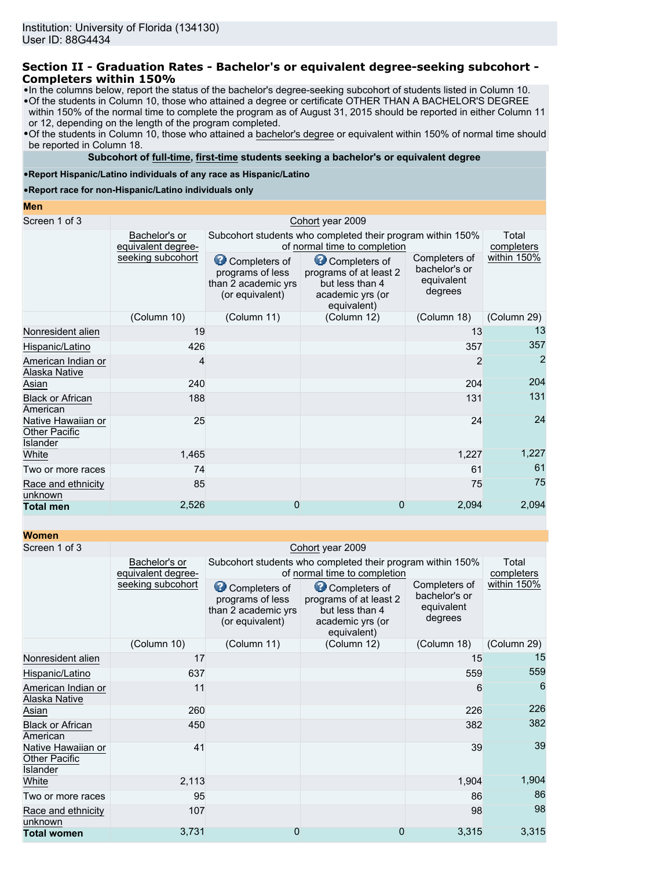## **Section II - Graduation Rates - Bachelor's or equivalent degree-seeking subcohort - Completers within 150%**

•In the columns below, report the status of the bachelor's degree-seeking subcohort of students listed in Column 10.

•Of the students in Column 10, those who attained a degree or certificate OTHER THAN A BACHELOR'S DEGREE within 150% of the normal time to complete the program as of August 31, 2015 should be reported in either Column 11 or 12, depending on the length of the program completed.

•Of the students in Column 10, those who attained a bachelor's degree or equivalent within 150% of normal time should be reported in Column 18.

## **Subcohort of full-time, first-time students seeking a bachelor's or equivalent degree**

•**Report Hispanic/Latino individuals of any race as Hispanic/Latino**

•**Report race for non-Hispanic/Latino individuals only**

#### **Men**

| Screen 1 of 3                                          |                                     |                                                                             | Cohort year 2009                                                                              |                                                         |                     |
|--------------------------------------------------------|-------------------------------------|-----------------------------------------------------------------------------|-----------------------------------------------------------------------------------------------|---------------------------------------------------------|---------------------|
|                                                        | Bachelor's or<br>equivalent degree- |                                                                             | Subcohort students who completed their program within 150%<br>of normal time to completion    |                                                         | Total<br>completers |
|                                                        | seeking subcohort                   | Completers of<br>programs of less<br>than 2 academic yrs<br>(or equivalent) | Completers of<br>programs of at least 2<br>but less than 4<br>academic yrs (or<br>equivalent) | Completers of<br>bachelor's or<br>equivalent<br>degrees | within 150%         |
|                                                        | (Column 10)                         | (Column 11)                                                                 | (Column 12)                                                                                   | (Column 18)                                             | (Column 29)         |
| Nonresident alien                                      | 19                                  |                                                                             |                                                                                               | 13                                                      | 13                  |
| Hispanic/Latino                                        | 426                                 |                                                                             |                                                                                               | 357                                                     | 357                 |
| American Indian or<br>Alaska Native                    | 4                                   |                                                                             |                                                                                               | $\overline{2}$                                          | $\overline{2}$      |
| Asian                                                  | 240                                 |                                                                             |                                                                                               | 204                                                     | 204                 |
| <b>Black or African</b><br>American                    | 188                                 |                                                                             |                                                                                               | 131                                                     | 131                 |
| Native Hawaiian or<br><b>Other Pacific</b><br>Islander | 25                                  |                                                                             |                                                                                               | 24                                                      | 24                  |
| White                                                  | 1,465                               |                                                                             |                                                                                               | 1,227                                                   | 1,227               |
| Two or more races                                      | 74                                  |                                                                             |                                                                                               | 61                                                      | 61                  |
| Race and ethnicity<br>unknown                          | 85                                  |                                                                             |                                                                                               | 75                                                      | 75                  |
| <b>Total men</b>                                       | 2,526                               | 0                                                                           | 0                                                                                             | 2,094                                                   | 2,094               |

| <b>Women</b>                                           |                                     |                                                                             |                                                                                               |                                                         |                     |  |  |
|--------------------------------------------------------|-------------------------------------|-----------------------------------------------------------------------------|-----------------------------------------------------------------------------------------------|---------------------------------------------------------|---------------------|--|--|
| Screen 1 of 3                                          |                                     | Cohort year 2009                                                            |                                                                                               |                                                         |                     |  |  |
|                                                        | Bachelor's or<br>equivalent degree- |                                                                             | Subcohort students who completed their program within 150%<br>of normal time to completion    |                                                         | Total<br>completers |  |  |
| seeking subcohort                                      |                                     | Completers of<br>programs of less<br>than 2 academic yrs<br>(or equivalent) | Completers of<br>programs of at least 2<br>but less than 4<br>academic yrs (or<br>equivalent) | Completers of<br>bachelor's or<br>equivalent<br>degrees | within 150%         |  |  |
|                                                        | (Column 10)                         | (Column 11)                                                                 | (Column 12)                                                                                   | (Column 18)                                             | (Column 29)         |  |  |
| Nonresident alien                                      | 17                                  |                                                                             |                                                                                               | 15                                                      | 15                  |  |  |
| Hispanic/Latino                                        | 637                                 |                                                                             |                                                                                               | 559                                                     | 559                 |  |  |
| American Indian or<br>Alaska Native                    | 11                                  |                                                                             |                                                                                               | 6                                                       | 6                   |  |  |
| Asian                                                  | 260                                 |                                                                             |                                                                                               | 226                                                     | 226                 |  |  |
| <b>Black or African</b><br>American                    | 450                                 |                                                                             |                                                                                               | 382                                                     | 382                 |  |  |
| Native Hawaiian or<br><b>Other Pacific</b><br>Islander | 41                                  |                                                                             |                                                                                               | 39                                                      | 39                  |  |  |
| White                                                  | 2,113                               |                                                                             |                                                                                               | 1,904                                                   | 1,904               |  |  |
| Two or more races                                      | 95                                  |                                                                             |                                                                                               | 86                                                      | 86                  |  |  |
| Race and ethnicity<br>unknown                          | 107                                 |                                                                             |                                                                                               | 98                                                      | 98                  |  |  |
| <b>Total women</b>                                     | 3,731                               | 0                                                                           | 0                                                                                             | 3,315                                                   | 3,315               |  |  |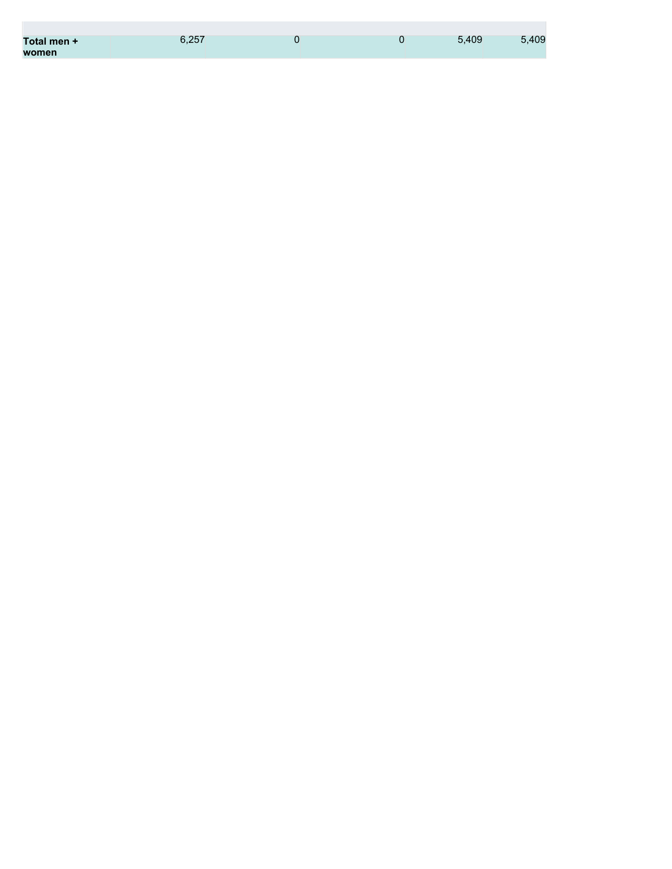| Total men + | 6.257 |  | 5.409 | 5,409 |
|-------------|-------|--|-------|-------|
| women       |       |  |       |       |

**The State**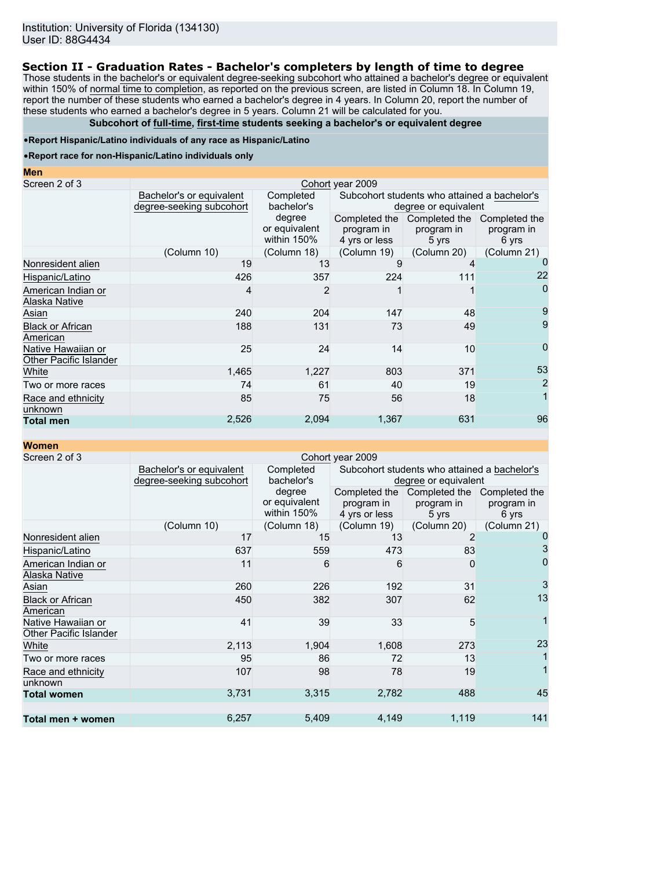## **Section II - Graduation Rates - Bachelor's completers by length of time to degree**

Those students in the bachelor's or equivalent degree-seeking subcohort who attained a bachelor's degree or equivalent within 150% of normal time to completion, as reported on the previous screen, are listed in Column 18. In Column 19, report the number of these students who earned a bachelor's degree in 4 years. In Column 20, report the number of these students who earned a bachelor's degree in 5 years. Column 21 will be calculated for you.

## **Subcohort of full-time, first-time students seeking a bachelor's or equivalent degree**

### •**Report Hispanic/Latino individuals of any race as Hispanic/Latino**

#### •**Report race for non-Hispanic/Latino individuals only**

| <b>Men</b>                                   |                                                      |                                        |                                                                      |                                      |                                      |  |  |  |
|----------------------------------------------|------------------------------------------------------|----------------------------------------|----------------------------------------------------------------------|--------------------------------------|--------------------------------------|--|--|--|
| Screen 2 of 3                                |                                                      |                                        | Cohort year 2009                                                     |                                      |                                      |  |  |  |
|                                              | Bachelor's or equivalent<br>degree-seeking subcohort | Completed<br>bachelor's                | Subcohort students who attained a bachelor's<br>degree or equivalent |                                      |                                      |  |  |  |
|                                              |                                                      | degree<br>or equivalent<br>within 150% | Completed the<br>program in<br>4 yrs or less                         | Completed the<br>program in<br>5 yrs | Completed the<br>program in<br>6 yrs |  |  |  |
|                                              | (Column 10)                                          | (Column 18)                            | (Column 19)                                                          | (Column 20)                          | (Column 21)                          |  |  |  |
| Nonresident alien                            | 19                                                   | 13                                     |                                                                      |                                      |                                      |  |  |  |
| Hispanic/Latino                              | 426                                                  | 357                                    | 224                                                                  | 111                                  | 22                                   |  |  |  |
| American Indian or<br>Alaska Native          | 4                                                    | 2                                      |                                                                      |                                      | 0                                    |  |  |  |
| Asian                                        | 240                                                  | 204                                    | 147                                                                  | 48                                   |                                      |  |  |  |
| <b>Black or African</b><br>American          | 188                                                  | 131                                    | 73                                                                   | 49                                   | 9                                    |  |  |  |
| Native Hawaiian or<br>Other Pacific Islander | 25                                                   | 24                                     | 14                                                                   | 10                                   | 0                                    |  |  |  |
| White                                        | 1,465                                                | 1,227                                  | 803                                                                  | 371                                  | 53                                   |  |  |  |
| Two or more races                            | 74                                                   | 61                                     | 40                                                                   | 19                                   | 2                                    |  |  |  |
| Race and ethnicity<br>unknown                | 85                                                   | 75                                     | 56                                                                   | 18                                   |                                      |  |  |  |
| <b>Total men</b>                             | 2,526                                                | 2,094                                  | 1,367                                                                | 631                                  | 96                                   |  |  |  |

**Women**

| Screen 2 of 3                                |                          |               | Cohort year 2009 |                                              |               |
|----------------------------------------------|--------------------------|---------------|------------------|----------------------------------------------|---------------|
|                                              | Bachelor's or equivalent | Completed     |                  | Subcohort students who attained a bachelor's |               |
|                                              | degree-seeking subcohort | bachelor's    |                  | degree or equivalent                         |               |
|                                              |                          | degree        |                  | Completed the Completed the                  | Completed the |
|                                              |                          | or equivalent | program in       | program in                                   | program in    |
|                                              |                          | within 150%   | 4 yrs or less    | 5 yrs                                        | 6 yrs         |
|                                              | (Column 10)              | (Column 18)   | (Column 19)      | (Column 20)                                  | (Column 21)   |
| Nonresident alien                            | 17                       | 15            | 13               |                                              |               |
| Hispanic/Latino                              | 637                      | 559           | 473              | 83                                           | 3             |
| American Indian or                           | 11                       | 6             | 6                | <sup>0</sup>                                 | 0             |
| Alaska Native                                |                          |               |                  |                                              |               |
| Asian                                        | 260                      | 226           | 192              | 31                                           | 3             |
| <b>Black or African</b><br>American          | 450                      | 382           | 307              | 62                                           | 13            |
| Native Hawaiian or<br>Other Pacific Islander | 41                       | 39            | 33               | 5                                            |               |
| White                                        | 2,113                    | 1,904         | 1,608            | 273                                          | 23            |
| Two or more races                            | 95                       | 86            | 72               | 13                                           |               |
| Race and ethnicity                           | 107                      | 98            | 78               | 19                                           |               |
| unknown                                      |                          |               |                  |                                              |               |
| <b>Total women</b>                           | 3,731                    | 3,315         | 2,782            | 488                                          | 45            |
|                                              |                          |               |                  |                                              |               |
| Total men + women                            | 6,257                    | 5,409         | 4,149            | 1,119                                        | 141           |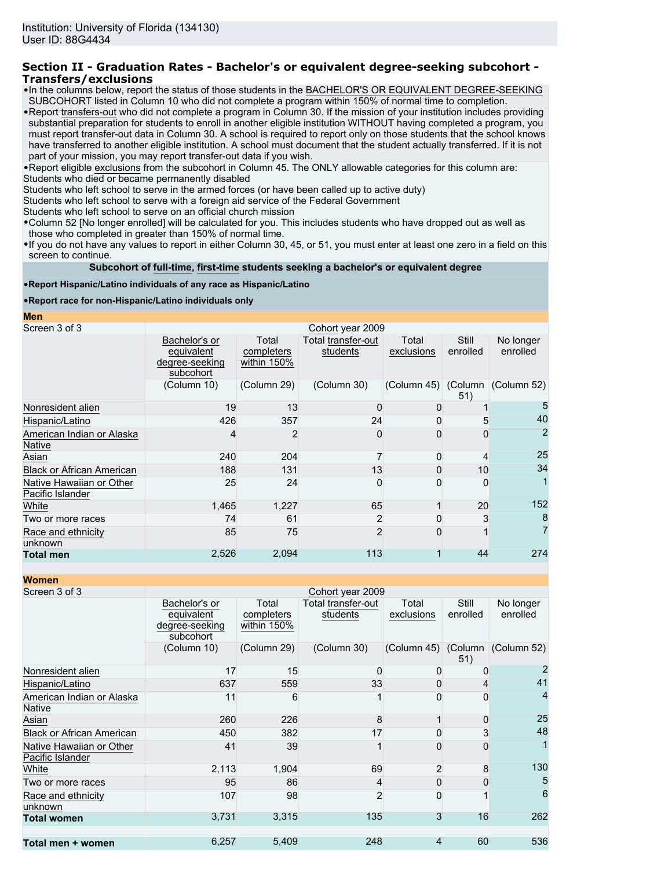## **Section II - Graduation Rates - Bachelor's or equivalent degree-seeking subcohort - Transfers/exclusions**

- •In the columns below, report the status of those students in the BACHELOR'S OR EQUIVALENT DEGREE-SEEKING SUBCOHORT listed in Column 10 who did not complete a program within 150% of normal time to completion.
- •Report transfers-out who did not complete a program in Column 30. If the mission of your institution includes providing substantial preparation for students to enroll in another eligible institution WITHOUT having completed a program, you must report transfer-out data in Column 30. A school is required to report only on those students that the school knows have transferred to another eligible institution. A school must document that the student actually transferred. If it is not part of your mission, you may report transfer-out data if you wish.

•Report eligible exclusions from the subcohort in Column 45. The ONLY allowable categories for this column are:

Students who died or became permanently disabled

Students who left school to serve in the armed forces (or have been called up to active duty)

Students who left school to serve with a foreign aid service of the Federal Government

Students who left school to serve on an official church mission

•Column 52 [No longer enrolled] will be calculated for you. This includes students who have dropped out as well as those who completed in greater than 150% of normal time.

•If you do not have any values to report in either Column 30, 45, or 51, you must enter at least one zero in a field on this screen to continue.

**Subcohort of full-time, first-time students seeking a bachelor's or equivalent degree**

## •**Report Hispanic/Latino individuals of any race as Hispanic/Latino**

## •**Report race for non-Hispanic/Latino individuals only**

**Men**

| Screen 3 of 3                                |                                                            |                                    | Cohort year 2009               |                     |                   |                                 |
|----------------------------------------------|------------------------------------------------------------|------------------------------------|--------------------------------|---------------------|-------------------|---------------------------------|
|                                              | Bachelor's or<br>equivalent<br>degree-seeking<br>subcohort | Total<br>completers<br>within 150% | Total transfer-out<br>students | Total<br>exclusions | Still<br>enrolled | No longer<br>enrolled           |
|                                              | (Column 10)                                                | (Column 29)                        | (Column 30)                    |                     | 51)               | (Column 45) (Column (Column 52) |
| Nonresident alien                            | 19                                                         | 13                                 |                                | 0                   |                   | 5                               |
| Hispanic/Latino                              | 426                                                        | 357                                | 24                             |                     |                   | 40                              |
| American Indian or Alaska<br>Native          |                                                            | 2                                  | 0                              |                     | 0                 | 2                               |
| Asian                                        | 240                                                        | 204                                |                                | 0                   |                   | 25                              |
| <b>Black or African American</b>             | 188                                                        | 131                                | 13                             | Ω                   | 10                | 34                              |
| Native Hawaiian or Other<br>Pacific Islander | 25                                                         | 24                                 | 0                              |                     | 0                 |                                 |
| White                                        | 1,465                                                      | 1,227                              | 65                             |                     | 20                | 152                             |
| Two or more races                            | 74                                                         | 61                                 | 2                              |                     |                   | 8                               |
| Race and ethnicity<br>unknown                | 85                                                         | 75                                 | $\overline{2}$                 |                     |                   |                                 |
| <b>Total men</b>                             | 2,526                                                      | 2,094                              | 113                            |                     | 44                | 274                             |

**Women**

| ,,,,,,,,,                                    |                                                            |                                    |                                |                     |                   |                       |
|----------------------------------------------|------------------------------------------------------------|------------------------------------|--------------------------------|---------------------|-------------------|-----------------------|
| Screen 3 of 3                                |                                                            |                                    | Cohort year 2009               |                     |                   |                       |
|                                              | Bachelor's or<br>equivalent<br>degree-seeking<br>subcohort | Total<br>completers<br>within 150% | Total transfer-out<br>students | Total<br>exclusions | Still<br>enrolled | No longer<br>enrolled |
|                                              | (Column 10)                                                | (Column 29)                        | (Column 30)                    | (Column 45) (Column | 51)               | (Column 52)           |
| Nonresident alien                            | 17                                                         | 15                                 | Ω                              | 0                   |                   |                       |
| Hispanic/Latino                              | 637                                                        | 559                                | 33                             | $\mathbf{O}$        | 4                 | 41                    |
| American Indian or Alaska<br>Native          | 11                                                         | 6                                  |                                | O                   | 0                 | 4                     |
| Asian                                        | 260                                                        | 226                                | 8                              |                     | $\Omega$          | 25                    |
| <b>Black or African American</b>             | 450                                                        | 382                                | 17                             | 0                   | 3                 | 48                    |
| Native Hawaiian or Other<br>Pacific Islander | 41                                                         | 39                                 |                                | O                   | $\Omega$          |                       |
| White                                        | 2,113                                                      | 1,904                              | 69                             | 2                   | 8                 | 130                   |
| Two or more races                            | 95                                                         | 86                                 | 4                              | O                   | 0                 | 5                     |
| Race and ethnicity<br>unknown                | 107                                                        | 98                                 | 2                              |                     |                   | 6                     |
| <b>Total women</b>                           | 3,731                                                      | 3,315                              | 135                            | 3                   | 16                | 262                   |
| Total men + women                            | 6,257                                                      | 5,409                              | 248                            | 4                   | 60                | 536                   |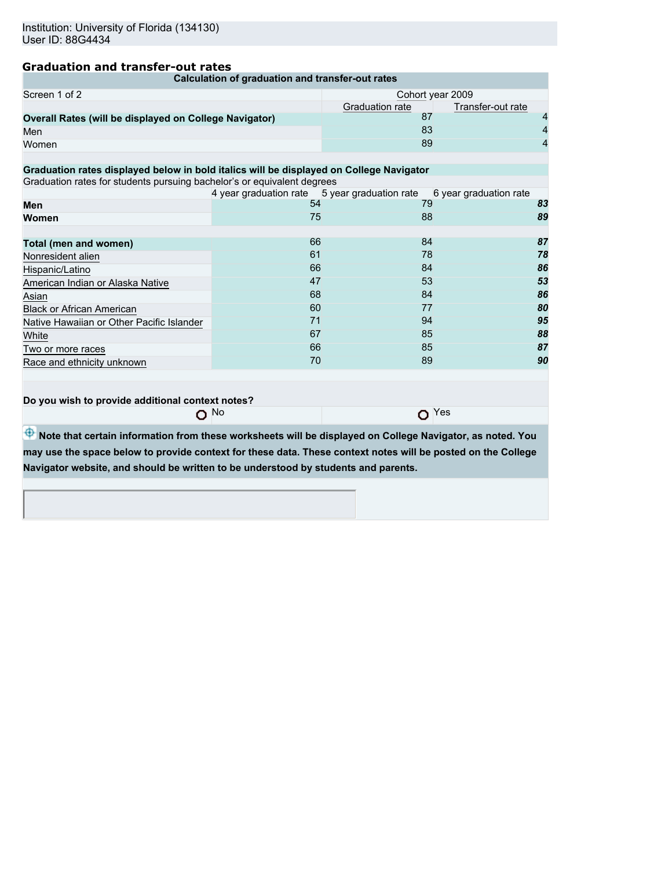# **Graduation and transfer-out rates**

| Calculation of graduation and transfer-out rates                                                                                                                                                   |                                                     |                  |                        |  |  |  |  |
|----------------------------------------------------------------------------------------------------------------------------------------------------------------------------------------------------|-----------------------------------------------------|------------------|------------------------|--|--|--|--|
| Screen 1 of 2                                                                                                                                                                                      |                                                     | Cohort year 2009 |                        |  |  |  |  |
|                                                                                                                                                                                                    |                                                     | Graduation rate  | Transfer-out rate      |  |  |  |  |
| Overall Rates (will be displayed on College Navigator)                                                                                                                                             |                                                     | 87               | 4                      |  |  |  |  |
| Men                                                                                                                                                                                                |                                                     | 83               | $\overline{4}$         |  |  |  |  |
| Women                                                                                                                                                                                              |                                                     | 89               | 4                      |  |  |  |  |
|                                                                                                                                                                                                    |                                                     |                  |                        |  |  |  |  |
| Graduation rates displayed below in bold italics will be displayed on College Navigator                                                                                                            |                                                     |                  |                        |  |  |  |  |
| Graduation rates for students pursuing bachelor's or equivalent degrees                                                                                                                            |                                                     |                  |                        |  |  |  |  |
|                                                                                                                                                                                                    | 4 year graduation rate 5 year graduation rate<br>54 |                  | 6 year graduation rate |  |  |  |  |
| Men                                                                                                                                                                                                |                                                     | 79               | 83                     |  |  |  |  |
| Women                                                                                                                                                                                              | 75                                                  | 88               | 89                     |  |  |  |  |
|                                                                                                                                                                                                    | 66                                                  | 84               | 87                     |  |  |  |  |
| Total (men and women)                                                                                                                                                                              | 61                                                  | 78               | 78                     |  |  |  |  |
| Nonresident alien                                                                                                                                                                                  | 66                                                  | 84               | 86                     |  |  |  |  |
| Hispanic/Latino                                                                                                                                                                                    |                                                     |                  |                        |  |  |  |  |
| American Indian or Alaska Native                                                                                                                                                                   | 47                                                  | 53               | 53                     |  |  |  |  |
| Asian                                                                                                                                                                                              | 68                                                  | 84               | 86                     |  |  |  |  |
| <b>Black or African American</b>                                                                                                                                                                   | 60                                                  | 77               | 80                     |  |  |  |  |
| Native Hawaiian or Other Pacific Islander                                                                                                                                                          | 71                                                  | 94               | 95                     |  |  |  |  |
| White                                                                                                                                                                                              | 67                                                  | 85               | 88                     |  |  |  |  |
| Two or more races                                                                                                                                                                                  | 66                                                  | 85               | 87                     |  |  |  |  |
| Race and ethnicity unknown                                                                                                                                                                         | 70                                                  | 89               | 90                     |  |  |  |  |
| Do you wish to provide additional context notes?<br>$\Omega$ Yes<br><b>No</b><br>O<br>Note that certain information from these worksheets will be displayed on College Navigator, as noted. You    |                                                     |                  |                        |  |  |  |  |
| may use the space below to provide context for these data. These context notes will be posted on the College<br>Navigator website, and should be written to be understood by students and parents. |                                                     |                  |                        |  |  |  |  |
|                                                                                                                                                                                                    |                                                     |                  |                        |  |  |  |  |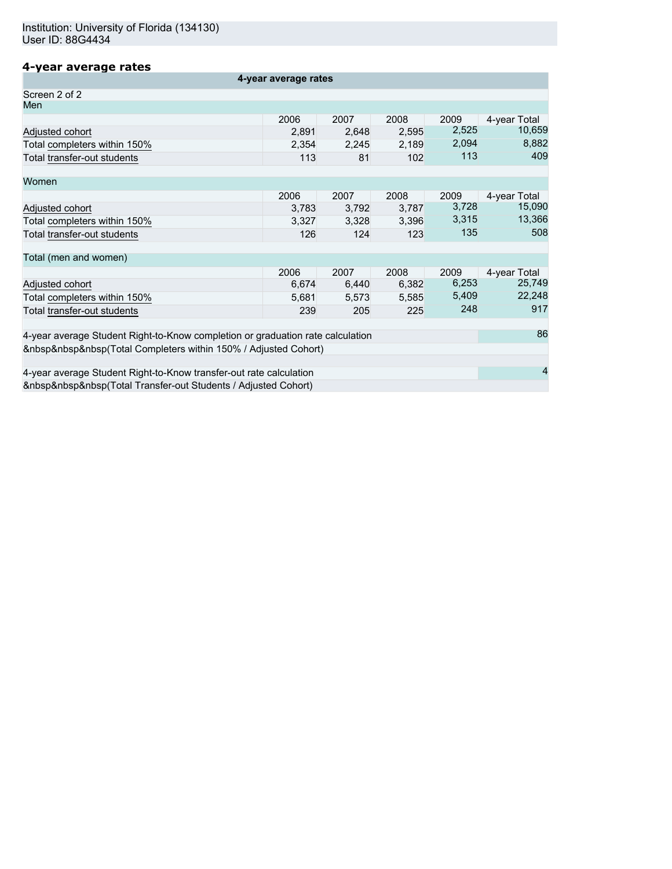# **4-year average rates**

| 4-year average rates                                                           |       |       |       |       |              |  |
|--------------------------------------------------------------------------------|-------|-------|-------|-------|--------------|--|
| Screen 2 of 2                                                                  |       |       |       |       |              |  |
| Men                                                                            |       |       |       |       |              |  |
|                                                                                | 2006  | 2007  | 2008  | 2009  | 4-year Total |  |
| Adjusted cohort                                                                | 2,891 | 2,648 | 2,595 | 2,525 | 10,659       |  |
| Total completers within 150%                                                   | 2,354 | 2,245 | 2,189 | 2,094 | 8,882        |  |
| Total transfer-out students                                                    | 113   | 81    | 102   | 113   | 409          |  |
| Women                                                                          |       |       |       |       |              |  |
|                                                                                | 2006  | 2007  | 2008  | 2009  | 4-year Total |  |
| Adjusted cohort                                                                | 3,783 | 3,792 | 3,787 | 3,728 | 15,090       |  |
| Total completers within 150%                                                   | 3,327 | 3,328 | 3,396 | 3,315 | 13,366       |  |
| Total transfer-out students                                                    | 126   | 124   | 123   | 135   | 508          |  |
| Total (men and women)                                                          |       |       |       |       |              |  |
|                                                                                | 2006  | 2007  | 2008  | 2009  | 4-year Total |  |
| Adjusted cohort                                                                | 6,674 | 6,440 | 6,382 | 6,253 | 25,749       |  |
| Total completers within 150%                                                   | 5.681 | 5,573 | 5,585 | 5,409 | 22,248       |  |
| Total transfer-out students                                                    | 239   | 205   | 225   | 248   | 917          |  |
| 4-year average Student Right-to-Know completion or graduation rate calculation |       |       |       |       | 86           |  |
| (Total Completers within 150% / Adjusted Cohort)                               |       |       |       |       |              |  |
|                                                                                |       |       |       |       |              |  |
| 4-year average Student Right-to-Know transfer-out rate calculation             |       |       |       |       |              |  |
| (Total Transfer-out Students / Adjusted Cohort)                                |       |       |       |       |              |  |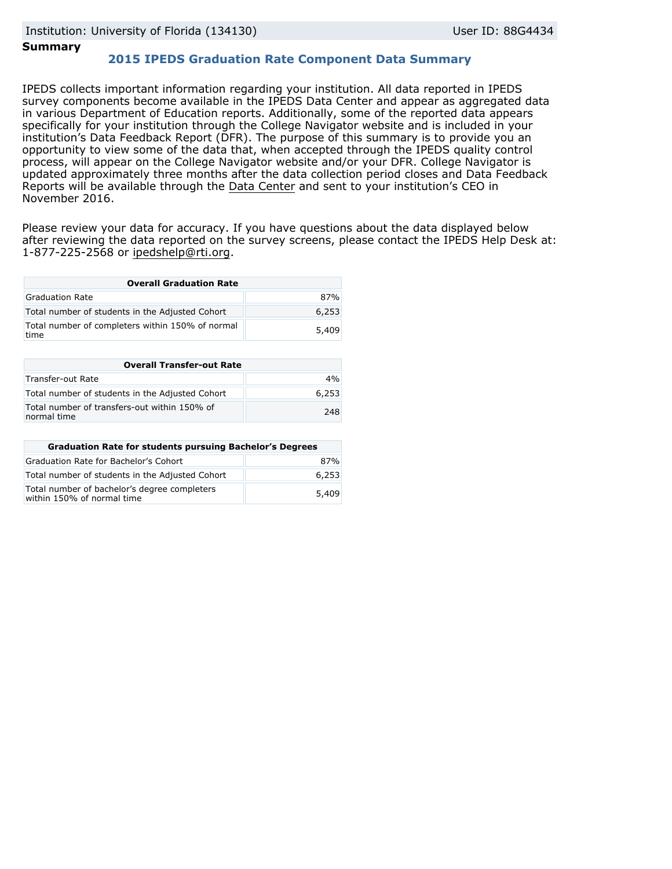# **Summary**

# **2015 IPEDS Graduation Rate Component Data Summary**

IPEDS collects important information regarding your institution. All data reported in IPEDS survey components become available in the IPEDS Data Center and appear as aggregated data in various Department of Education reports. Additionally, some of the reported data appears specifically for your institution through the College Navigator website and is included in your institution's Data Feedback Report (DFR). The purpose of this summary is to provide you an opportunity to view some of the data that, when accepted through the IPEDS quality control process, will appear on the College Navigator website and/or your DFR. College Navigator is updated approximately three months after the data collection period closes and Data Feedback Reports will be available through the [Data Center](http://nces.ed.gov/ipeds/datacenter/) and sent to your institution's CEO in November 2016.

Please review your data for accuracy. If you have questions about the data displayed below after reviewing the data reported on the survey screens, please contact the IPEDS Help Desk at: 1-877-225-2568 or ipedshelp@rti.org.

| <b>Overall Graduation Rate</b>                           |       |  |  |
|----------------------------------------------------------|-------|--|--|
| Graduation Rate                                          | 87%   |  |  |
| Total number of students in the Adjusted Cohort          | 6,253 |  |  |
| Total number of completers within 150% of normal<br>time | 5,409 |  |  |

| <b>Overall Transfer-out Rate</b>                            |       |  |  |
|-------------------------------------------------------------|-------|--|--|
| Transfer-out Rate                                           | 4%    |  |  |
| Total number of students in the Adjusted Cohort             | 6.253 |  |  |
| Total number of transfers-out within 150% of<br>normal time | 248   |  |  |

| <b>Graduation Rate for students pursuing Bachelor's Degrees</b>            |       |  |  |
|----------------------------------------------------------------------------|-------|--|--|
| Graduation Rate for Bachelor's Cohort                                      | 87%   |  |  |
| Total number of students in the Adjusted Cohort                            | 6,253 |  |  |
| Total number of bachelor's degree completers<br>within 150% of normal time | 5,409 |  |  |